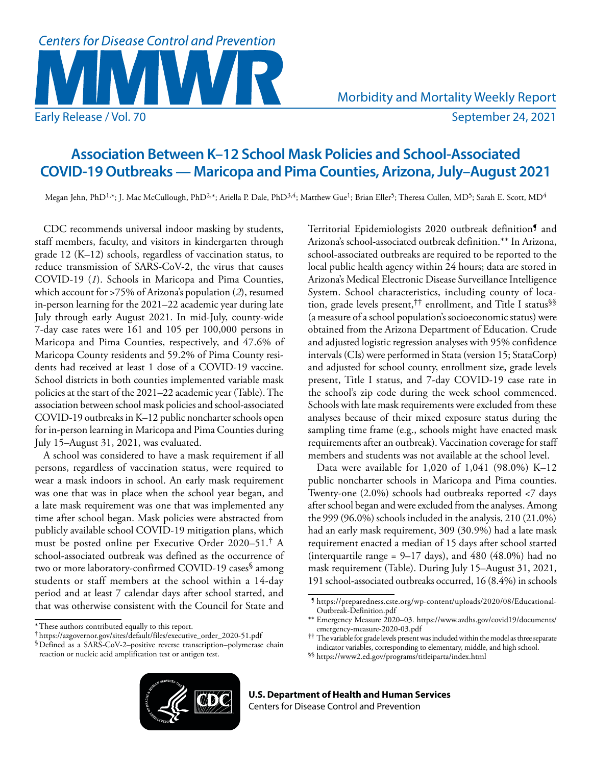

## **Association Between K–12 School Mask Policies and School-Associated COVID-19 Outbreaks — Maricopa and Pima Counties, Arizona, July–August 2021**

Megan Jehn, PhD<sup>1,\*</sup>; J. Mac McCullough, PhD<sup>2,\*</sup>; Ariella P. Dale, PhD<sup>3,4</sup>; Matthew Gue<sup>1</sup>; Brian Eller<sup>5</sup>; Theresa Cullen, MD<sup>5</sup>; Sarah E. Scott, MD<sup>4</sup>

CDC recommends universal indoor masking by students, staff members, faculty, and visitors in kindergarten through grade 12 (K–12) schools, regardless of vaccination status, to reduce transmission of SARS-CoV-2, the virus that causes COVID-19 (*1*). Schools in Maricopa and Pima Counties, which account for >75% of Arizona's population (*2*), resumed in-person learning for the 2021–22 academic year during late July through early August 2021. In mid-July, county-wide 7-day case rates were 161 and 105 per 100,000 persons in Maricopa and Pima Counties, respectively, and 47.6% of Maricopa County residents and 59.2% of Pima County residents had received at least 1 dose of a COVID-19 vaccine. School districts in both counties implemented variable mask policies at the start of the 2021–22 academic year (Table). The association between school mask policies and school-associated COVID-19 outbreaks in K–12 public noncharter schools open for in-person learning in Maricopa and Pima Counties during July 15–August 31, 2021, was evaluated.

A school was considered to have a mask requirement if all persons, regardless of vaccination status, were required to wear a mask indoors in school. An early mask requirement was one that was in place when the school year began, and a late mask requirement was one that was implemented any time after school began. Mask policies were abstracted from publicly available school COVID-19 mitigation plans, which must be posted online per Executive Order 2020–51.† A school-associated outbreak was defined as the occurrence of two or more laboratory-confirmed COVID-19 cases<sup>§</sup> among students or staff members at the school within a 14-day period and at least 7 calendar days after school started, and that was otherwise consistent with the Council for State and

Territorial Epidemiologists 2020 outbreak definition¶ and Arizona's school-associated outbreak definition.\*\* In Arizona, school-associated outbreaks are required to be reported to the local public health agency within 24 hours; data are stored in Arizona's Medical Electronic Disease Surveillance Intelligence System. School characteristics, including county of location, grade levels present,<sup>††</sup> enrollment, and Title I status<sup>§§</sup> (a measure of a school population's socioeconomic status) were obtained from the Arizona Department of Education. Crude and adjusted logistic regression analyses with 95% confidence intervals (CIs) were performed in Stata (version 15; StataCorp) and adjusted for school county, enrollment size, grade levels present, Title I status, and 7-day COVID-19 case rate in the school's zip code during the week school commenced. Schools with late mask requirements were excluded from these analyses because of their mixed exposure status during the sampling time frame (e.g., schools might have enacted mask requirements after an outbreak). Vaccination coverage for staff members and students was not available at the school level.

Data were available for 1,020 of 1,041 (98.0%) K–12 public noncharter schools in Maricopa and Pima counties. Twenty-one (2.0%) schools had outbreaks reported <7 days after school began and were excluded from the analyses. Among the 999 (96.0%) schools included in the analysis, 210 (21.0%) had an early mask requirement, 309 (30.9%) had a late mask requirement enacted a median of 15 days after school started (interquartile range = 9–17 days), and 480 (48.0%) had no mask requirement (Table). During July 15–August 31, 2021, 191 school-associated outbreaks occurred, 16 (8.4%) in schools

§§ <https://www2.ed.gov/programs/titleiparta/index.html>



<sup>\*</sup>These authors contributed equally to this report.

<sup>†</sup> [https://azgovernor.gov/sites/default/files/executive\\_order\\_2020-51.pdf](https://azgovernor.gov/sites/default/files/executive_order_2020-51.pdf)

<sup>§</sup>Defined as a SARS-CoV-2–positive reverse transcription–polymerase chain reaction or nucleic acid amplification test or antigen test.

<sup>¶</sup> [https://preparedness.cste.org/wp-content/uploads/2020/08/Educational-](https://preparedness.cste.org/wp-content/uploads/2020/08/Educational-Outbreak-Definition.pdf)[Outbreak-Definition.pdf](https://preparedness.cste.org/wp-content/uploads/2020/08/Educational-Outbreak-Definition.pdf)

<sup>\*\*</sup> Emergency Measure 2020–03. [https://www.azdhs.gov/covid19/documents/](https://www.azdhs.gov/covid19/documents/emergency-measure-2020-03.pdf) [emergency-measure-2020-03.pdf](https://www.azdhs.gov/covid19/documents/emergency-measure-2020-03.pdf)

<sup>††</sup> The variable for grade levels present was included within the model as three separate indicator variables, corresponding to elementary, middle, and high school.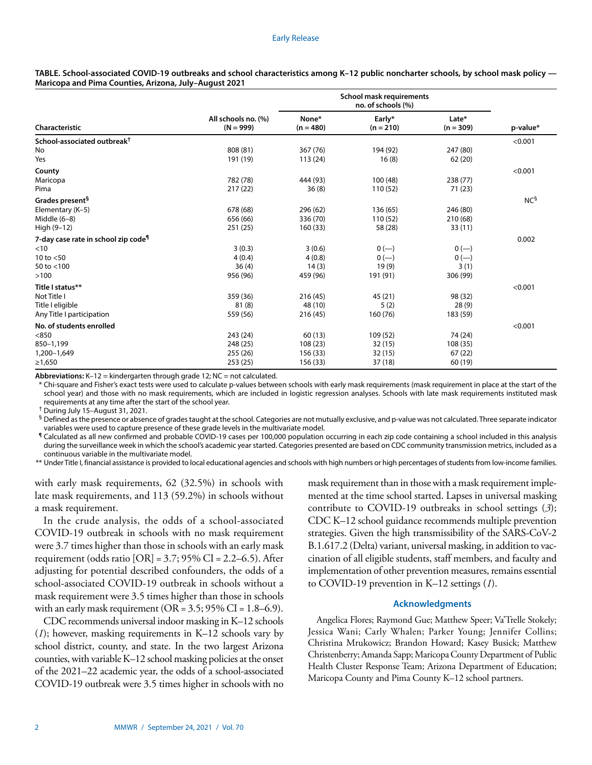## Early Release

**TABLE. School-associated COVID-19 outbreaks and school characteristics among K–12 public noncharter schools, by school mask policy — Maricopa and Pima Counties, Arizona, July–August 2021**

| Characteristic                                  | All schools no. (%)<br>$(N = 999)$ | <b>School mask requirements</b><br>no. of schools (%) |                       |                      |                 |
|-------------------------------------------------|------------------------------------|-------------------------------------------------------|-----------------------|----------------------|-----------------|
|                                                 |                                    | None*<br>$(n = 480)$                                  | Early*<br>$(n = 210)$ | Late*<br>$(n = 309)$ | p-value*        |
| School-associated outbreak <sup>†</sup>         |                                    |                                                       |                       |                      | < 0.001         |
| No                                              | 808 (81)                           | 367 (76)                                              | 194 (92)              | 247 (80)             |                 |
| Yes                                             | 191 (19)                           | 113(24)                                               | 16(8)                 | 62(20)               |                 |
| County                                          |                                    |                                                       |                       |                      | < 0.001         |
| Maricopa                                        | 782 (78)                           | 444 (93)                                              | 100(48)               | 238 (77)             |                 |
| Pima                                            | 217(22)                            | 36(8)                                                 | 110 (52)              | 71 (23)              |                 |
| Grades present <sup>§</sup>                     |                                    |                                                       |                       |                      | NC <sup>5</sup> |
| Elementary (K-5)                                | 678 (68)                           | 296 (62)                                              | 136 (65)              | 246 (80)             |                 |
| Middle $(6-8)$                                  | 656 (66)                           | 336 (70)                                              | 110(52)               | 210 (68)             |                 |
| High (9-12)                                     | 251 (25)                           | 160(33)                                               | 58 (28)               | 33(11)               |                 |
| 7-day case rate in school zip code <sup>¶</sup> |                                    |                                                       |                       |                      | 0.002           |
| < 10                                            | 3(0.3)                             | 3(0.6)                                                | $0 (-)$               | $0 (-)$              |                 |
| 10 to $<$ 50                                    | 4(0.4)                             | 4(0.8)                                                | $0 (-)$               | $0 (-)$              |                 |
| 50 to <100                                      | 36(4)                              | 14(3)                                                 | 19(9)                 | 3(1)                 |                 |
| >100                                            | 956 (96)                           | 459 (96)                                              | 191 (91)              | 306 (99)             |                 |
| Title I status**                                |                                    |                                                       |                       |                      | < 0.001         |
| Not Title I                                     | 359 (36)                           | 216(45)                                               | 45(21)                | 98 (32)              |                 |
| Title I eligible                                | 81(8)                              | 48 (10)                                               | 5(2)                  | 28(9)                |                 |
| Any Title I participation                       | 559 (56)                           | 216 (45)                                              | 160 (76)              | 183 (59)             |                 |
| No. of students enrolled                        |                                    |                                                       |                       |                      | < 0.001         |
| < 850                                           | 243 (24)                           | 60(13)                                                | 109 (52)              | 74 (24)              |                 |
| 850-1,199                                       | 248 (25)                           | 108(23)                                               | 32(15)                | 108 (35)             |                 |
| 1,200-1,649                                     | 255 (26)                           | 156 (33)                                              | 32(15)                | 67(22)               |                 |
| ≥1,650                                          | 253(25)                            | 156 (33)                                              | 37(18)                | 60 (19)              |                 |

**Abbreviations:** K–12 = kindergarten through grade 12; NC = not calculated.

Chi-square and Fisher's exact tests were used to calculate p-values between schools with early mask requirements (mask requirement in place at the start of the school year) and those with no mask requirements, which are included in logistic regression analyses. Schools with late mask requirements instituted mask requirements at any time after the start of the school year.

† During July 15–August 31, 2021.

 ${}^{\mathsf{S}}$  Defined as the presence or absence of grades taught at the school. Categories are not mutually exclusive, and p-value was not calculated. Three separate indicator variables were used to capture presence of these grade levels in the multivariate model.

¶ Calculated as all new confirmed and probable COVID-19 cases per 100,000 population occurring in each zip code containing a school included in this analysis during the surveillance week in which the school's academic year started. Categories presented are based on CDC community transmission metrics, included as a continuous variable in the multivariate model.

\*\* Under Title I, financial assistance is provided to local educational agencies and schools with high numbers or high percentages of students from low-income families.

with early mask requirements, 62 (32.5%) in schools with late mask requirements, and 113 (59.2%) in schools without a mask requirement.

In the crude analysis, the odds of a school-associated COVID-19 outbreak in schools with no mask requirement were 3.7 times higher than those in schools with an early mask requirement (odds ratio  $[OR] = 3.7$ ; 95% CI = 2.2–6.5). After adjusting for potential described confounders, the odds of a school-associated COVID-19 outbreak in schools without a mask requirement were 3.5 times higher than those in schools with an early mask requirement ( $OR = 3.5$ ;  $95\%$  CI = 1.8–6.9).

CDC recommends universal indoor masking in K–12 schools (*1*); however, masking requirements in K–12 schools vary by school district, county, and state. In the two largest Arizona counties, with variable K–12 school masking policies at the onset of the 2021–22 academic year, the odds of a school-associated COVID-19 outbreak were 3.5 times higher in schools with no mask requirement than in those with a mask requirement implemented at the time school started. Lapses in universal masking contribute to COVID-19 outbreaks in school settings (*3*); CDC K–12 school guidance recommends multiple prevention strategies. Given the high transmissibility of the SARS-CoV-2 B.1.617.2 (Delta) variant, universal masking, in addition to vaccination of all eligible students, staff members, and faculty and implementation of other prevention measures, remains essential to COVID-19 prevention in K–12 settings (*1*).

## **Acknowledgments**

Angelica Flores; Raymond Gue; Matthew Speer; Va'Trelle Stokely; Jessica Wani; Carly Whalen; Parker Young; Jennifer Collins; Christina Mrukowicz; Brandon Howard; Kasey Busick; Matthew Christenberry; Amanda Sapp; Maricopa County Department of Public Health Cluster Response Team; Arizona Department of Education; Maricopa County and Pima County K–12 school partners.